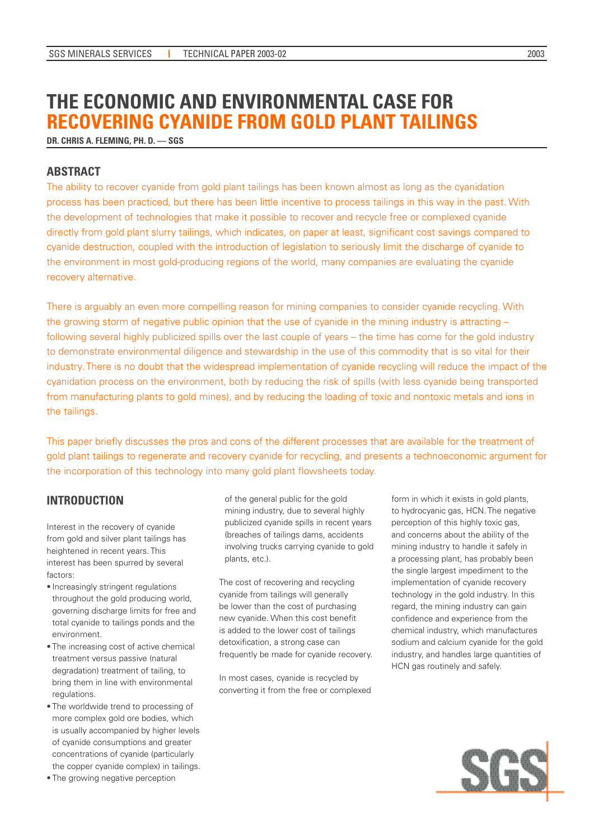# **THE ECONOMIC AND ENVIRONMENTAL CASE FOR RECOVERING CYANIDE FROM GOLD PLANT TAILINGS**

**DR. CHRIS A. FLEMING, PH. D. –– SGS**

# **ABSTRACT**

The ability to recover cyanide from gold plant tailings has been known almost as long as the cyanidation process has been practiced, but there has been little incentive to process tailings in this way in the past. With the development of technologies that make it possible to recover and recycle free or complexed cyanide directly from gold plant slurry tailings, which indicates, on paper at least, significant cost savings compared to cyanide destruction, coupled with the introduction of legislation to seriously limit the discharge of cyanide to the environment in most gold-producing regions of the world, many companies are evaluating the cyanide recovery alternative.

There is arguably an even more compelling reason for mining companies to consider cyanide recycling. With the growing storm of negative public opinion that the use of cyanide in the mining industry is attracting – following several highly publicized spills over the last couple of years – the time has come for the gold industry to demonstrate environmental diligence and stewardship in the use of this commodity that is so vital for their industry. There is no doubt that the widespread implementation of cyanide recycling will reduce the impact of the cyanidation process on the environment, both by reducing the risk of spills (with less cyanide being transported from manufacturing plants to gold mines), and by reducing the loading of toxic and nontoxic metals and ions in the tailings.

This paper briefly discusses the pros and cons of the different processes that are available for the treatment of gold plant tailings to regenerate and recovery cyanide for recycling, and presents a technoeconomic argument for the incorporation of this technology into many gold plant flowsheets today.

# **INTRODUCTION**

Interest in the recovery of cyanide from gold and silver plant tailings has heightened in recent years. This interest has been spurred by several factors:

- Increasingly stringent regulations throughout the gold producing world, governing discharge limits for free and total cyanide to tailings ponds and the environment.
- The increasing cost of active chemical treatment versus passive (natural degradation) treatment of tailing, to bring them in line with environmental regulations.
- The worldwide trend to processing of more complex gold ore bodies, which is usually accompanied by higher levels of cyanide consumptions and greater concentrations of cyanide (particularly the copper cyanide complex) in tailings.

• The growing negative perception

of the general public for the gold mining industry, due to several highly publicized cyanide spills in recent years (breaches of tailings dams, accidents involving trucks carrying cyanide to gold plants, etc.).

The cost of recovering and recycling cyanide from tailings will generally be lower than the cost of purchasing new cyanide. When this cost benefit is added to the lower cost of tailings detoxification, a strong case can frequently be made for cyanide recovery.

In most cases, cyanide is recycled by converting it from the free or complexed form in which it exists in gold plants, to hydrocyanic gas, HCN. The negative perception of this highly toxic gas, and concerns about the ability of the mining industry to handle it safely in a processing plant, has probably been the single largest impediment to the implementation of cyanide recovery technology in the gold industry. In this regard, the mining industry can gain confidence and experience from the chemical industry, which manufactures sodium and calcium cyanide for the gold industry, and handles large quantities of HCN gas routinely and safely.

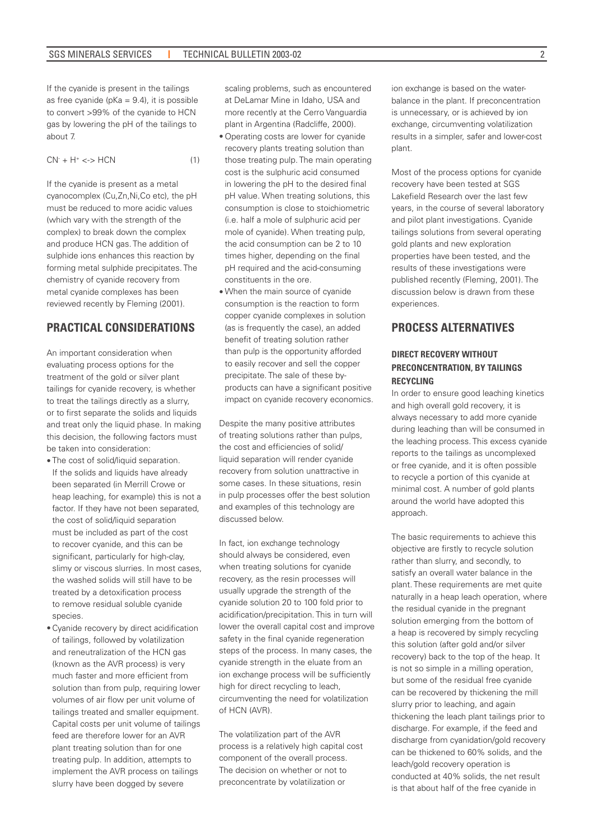If the cyanide is present in the tailings as free cyanide ( $pKa = 9.4$ ), it is possible to convert >99% of the cyanide to HCN gas by lowering the pH of the tailings to about 7.

$$
CN+ + H+ < -> HCN
$$
 (1)

If the cyanide is present as a metal cyanocomplex (Cu,Zn,Ni,Co etc), the pH must be reduced to more acidic values (which vary with the strength of the complex) to break down the complex and produce HCN gas. The addition of sulphide ions enhances this reaction by forming metal sulphide precipitates. The chemistry of cyanide recovery from metal cyanide complexes has been reviewed recently by Fleming (2001).

### **PRACTICAL CONSIDERATIONS**

An important consideration when evaluating process options for the treatment of the gold or silver plant tailings for cyanide recovery, is whether to treat the tailings directly as a slurry, or to first separate the solids and liquids and treat only the liquid phase. In making this decision, the following factors must be taken into consideration:

- The cost of solid/liquid separation. If the solids and liquids have already been separated (in Merrill Crowe or heap leaching, for example) this is not a factor. If they have not been separated, the cost of solid/liquid separation must be included as part of the cost to recover cyanide, and this can be significant, particularly for high-clay, slimy or viscous slurries. In most cases, the washed solids will still have to be treated by a detoxification process to remove residual soluble cyanide species.
- Cyanide recovery by direct acidification of tailings, followed by volatilization and reneutralization of the HCN gas (known as the AVR process) is very much faster and more efficient from solution than from pulp, requiring lower volumes of air flow per unit volume of tailings treated and smaller equipment. Capital costs per unit volume of tailings feed are therefore lower for an AVR plant treating solution than for one treating pulp. In addition, attempts to implement the AVR process on tailings slurry have been dogged by severe

scaling problems, such as encountered at DeLamar Mine in Idaho, USA and more recently at the Cerro Vanguardia plant in Argentina (Radcliffe, 2000).

- Operating costs are lower for cyanide recovery plants treating solution than those treating pulp. The main operating cost is the sulphuric acid consumed in lowering the pH to the desired final pH value. When treating solutions, this consumption is close to stoichiometric (i.e. half a mole of sulphuric acid per mole of cyanide). When treating pulp, the acid consumption can be 2 to 10 times higher, depending on the final pH required and the acid-consuming constituents in the ore.
- When the main source of cyanide consumption is the reaction to form copper cyanide complexes in solution (as is frequently the case), an added benefit of treating solution rather than pulp is the opportunity afforded to easily recover and sell the copper precipitate. The sale of these byproducts can have a significant positive impact on cyanide recovery economics.

Despite the many positive attributes of treating solutions rather than pulps, the cost and efficiencies of solid/ liquid separation will render cyanide recovery from solution unattractive in some cases. In these situations, resin in pulp processes offer the best solution and examples of this technology are discussed below.

In fact, ion exchange technology should always be considered, even when treating solutions for cyanide recovery, as the resin processes will usually upgrade the strength of the cyanide solution 20 to 100 fold prior to acidification/precipitation. This in turn will lower the overall capital cost and improve safety in the final cyanide regeneration steps of the process. In many cases, the cyanide strength in the eluate from an ion exchange process will be sufficiently high for direct recycling to leach, circumventing the need for volatilization of HCN (AVR).

The volatilization part of the AVR process is a relatively high capital cost component of the overall process. The decision on whether or not to preconcentrate by volatilization or

ion exchange is based on the waterbalance in the plant. If preconcentration is unnecessary, or is achieved by ion exchange, circumventing volatilization results in a simpler, safer and lower-cost plant.

Most of the process options for cyanide recovery have been tested at SGS Lakefield Research over the last few years, in the course of several laboratory and pilot plant investigations. Cyanide tailings solutions from several operating gold plants and new exploration properties have been tested, and the results of these investigations were published recently (Fleming, 2001). The discussion below is drawn from these experiences.

# **PROCESS ALTERNATIVES**

### **DIRECT RECOVERY WITHOUT PRECONCENTRATION, BY TAILINGS RECYCLING**

In order to ensure good leaching kinetics and high overall gold recovery, it is always necessary to add more cyanide during leaching than will be consumed in the leaching process. This excess cyanide reports to the tailings as uncomplexed or free cyanide, and it is often possible to recycle a portion of this cyanide at minimal cost. A number of gold plants around the world have adopted this approach.

The basic requirements to achieve this objective are firstly to recycle solution rather than slurry, and secondly, to satisfy an overall water balance in the plant. These requirements are met quite naturally in a heap leach operation, where the residual cyanide in the pregnant solution emerging from the bottom of a heap is recovered by simply recycling this solution (after gold and/or silver recovery) back to the top of the heap. It is not so simple in a milling operation, but some of the residual free cyanide can be recovered by thickening the mill slurry prior to leaching, and again thickening the leach plant tailings prior to discharge. For example, if the feed and discharge from cyanidation/gold recovery can be thickened to 60% solids, and the leach/gold recovery operation is conducted at 40% solids, the net result is that about half of the free cyanide in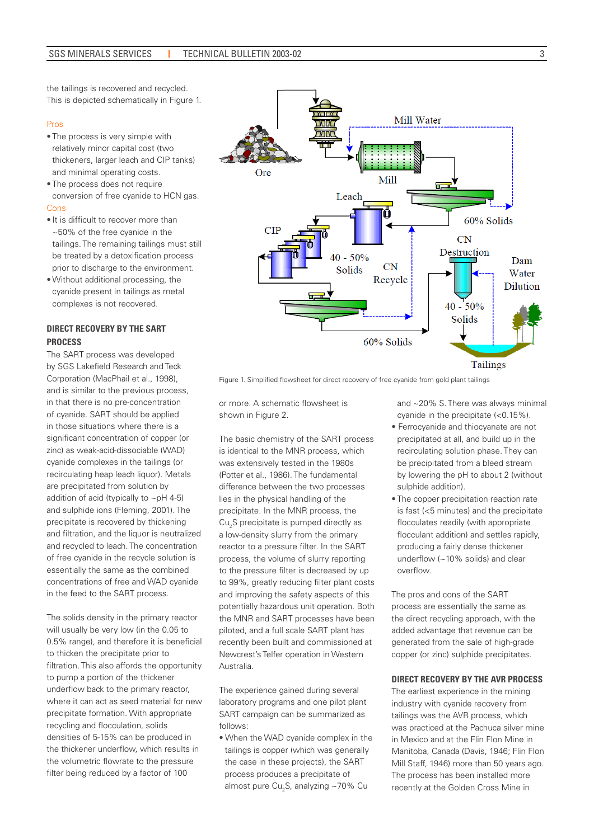3

the tailings is recovered and recycled. This is depicted schematically in Figure 1.

#### Pros

- The process is very simple with relatively minor capital cost (two thickeners, larger leach and CIP tanks) and minimal operating costs.
- The process does not require conversion of free cyanide to HCN gas. Cons
- It is difficult to recover more than ~50% of the free cyanide in the tailings. The remaining tailings must still be treated by a detoxification process prior to discharge to the environment.
- Without additional processing, the cyanide present in tailings as metal complexes is not recovered.

### **DIRECT RECOVERY BY THE SART PROCESS**

The SART process was developed by SGS Lakefield Research and Teck Corporation (MacPhail et al., 1998), and is similar to the previous process, in that there is no pre-concentration of cyanide. SART should be applied in those situations where there is a significant concentration of copper (or zinc) as weak-acid-dissociable (WAD) cyanide complexes in the tailings (or recirculating heap leach liquor). Metals are precipitated from solution by addition of acid (typically to ~pH 4-5) and sulphide ions (Fleming, 2001). The precipitate is recovered by thickening and filtration, and the liquor is neutralized and recycled to leach. The concentration of free cyanide in the recycle solution is essentially the same as the combined concentrations of free and WAD cyanide in the feed to the SART process.

The solids density in the primary reactor will usually be very low (in the 0.05 to 0.5% range), and therefore it is beneficial to thicken the precipitate prior to filtration. This also affords the opportunity to pump a portion of the thickener underflow back to the primary reactor, where it can act as seed material for new precipitate formation. With appropriate recycling and flocculation, solids densities of 5-15% can be produced in the thickener underflow, which results in the volumetric flowrate to the pressure filter being reduced by a factor of 100



Figure 1. Simplified flowsheet for direct recovery of free cyanide from gold plant tailings

or more. A schematic flowsheet is shown in Figure 2.

The basic chemistry of the SART process is identical to the MNR process, which was extensively tested in the 1980s (Potter et al., 1986). The fundamental difference between the two processes lies in the physical handling of the precipitate. In the MNR process, the  $\mathrm{Cu_{2}S}$  precipitate is pumped directly as a low-density slurry from the primary reactor to a pressure filter. In the SART process, the volume of slurry reporting to the pressure filter is decreased by up to 99%, greatly reducing filter plant costs and improving the safety aspects of this potentially hazardous unit operation. Both the MNR and SART processes have been piloted, and a full scale SART plant has recently been built and commissioned at Newcrest's Telfer operation in Western Australia.

The experience gained during several laboratory programs and one pilot plant SART campaign can be summarized as follows:

• When the WAD cyanide complex in the tailings is copper (which was generally the case in these projects), the SART process produces a precipitate of almost pure Cu<sub>2</sub>S, analyzing ~70% Cu

and ~20% S. There was always minimal cyanide in the precipitate (<0.15%).

- Ferrocyanide and thiocyanate are not precipitated at all, and build up in the recirculating solution phase. They can be precipitated from a bleed stream by lowering the pH to about 2 (without sulphide addition).
- The copper precipitation reaction rate is fast (<5 minutes) and the precipitate flocculates readily (with appropriate flocculant addition) and settles rapidly, producing a fairly dense thickener underflow (~10% solids) and clear overflow.

The pros and cons of the SART process are essentially the same as the direct recycling approach, with the added advantage that revenue can be generated from the sale of high-grade copper (or zinc) sulphide precipitates.

#### **DIRECT RECOVERY BY THE AVR PROCESS**

The earliest experience in the mining industry with cyanide recovery from tailings was the AVR process, which was practiced at the Pachuca silver mine in Mexico and at the Flin Flon Mine in Manitoba, Canada (Davis, 1946; Flin Flon Mill Staff, 1946) more than 50 years ago. The process has been installed more recently at the Golden Cross Mine in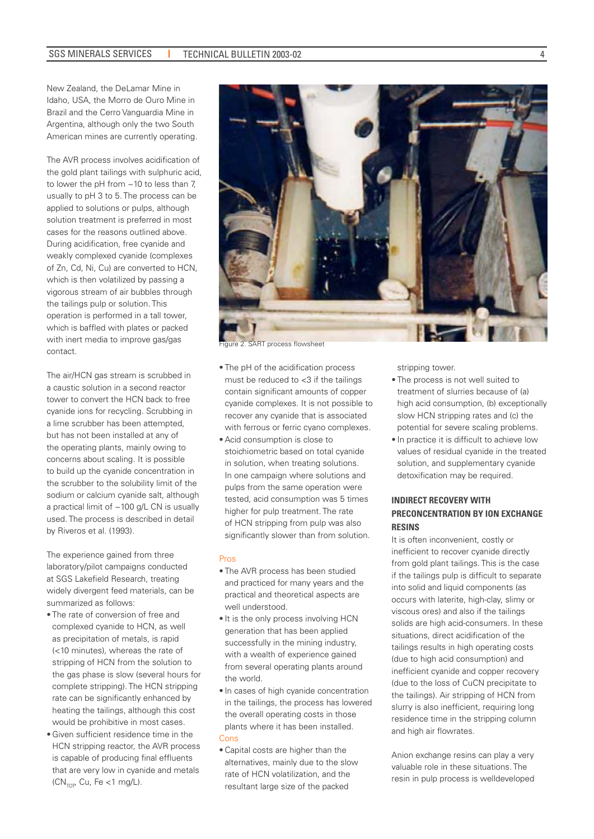New Zealand, the DeLamar Mine in Idaho, USA, the Morro de Ouro Mine in Brazil and the Cerro Vanguardia Mine in Argentina, although only the two South American mines are currently operating.

The AVR process involves acidification of the gold plant tailings with sulphuric acid, to lower the pH from ~10 to less than 7, usually to pH 3 to 5. The process can be applied to solutions or pulps, although solution treatment is preferred in most cases for the reasons outlined above. During acidification, free cyanide and weakly complexed cyanide (complexes of Zn, Cd, Ni, Cu) are converted to HCN, which is then volatilized by passing a vigorous stream of air bubbles through the tailings pulp or solution. This operation is performed in a tall tower, which is baffled with plates or packed with inert media to improve gas/gas contact.

The air/HCN gas stream is scrubbed in a caustic solution in a second reactor tower to convert the HCN back to free cyanide ions for recycling. Scrubbing in a lime scrubber has been attempted, but has not been installed at any of the operating plants, mainly owing to concerns about scaling. It is possible to build up the cyanide concentration in the scrubber to the solubility limit of the sodium or calcium cyanide salt, although a practical limit of  $\sim$  100 g/L CN is usually used. The process is described in detail by Riveros et al. (1993).

The experience gained from three laboratory/pilot campaigns conducted at SGS Lakefield Research, treating widely divergent feed materials, can be summarized as follows:

- The rate of conversion of free and complexed cyanide to HCN, as well as precipitation of metals, is rapid (<10 minutes), whereas the rate of stripping of HCN from the solution to the gas phase is slow (several hours for complete stripping). The HCN stripping rate can be significantly enhanced by heating the tailings, although this cost would be prohibitive in most cases.
- Given sufficient residence time in the HCN stripping reactor, the AVR process is capable of producing final effluents that are very low in cyanide and metals  $(CN<sub>TOT</sub>, Cu, Fe < 1 mg/L).$



- 
- The pH of the acidification process must be reduced to  $<$ 3 if the tailings contain significant amounts of copper cyanide complexes. It is not possible to recover any cyanide that is associated with ferrous or ferric cyano complexes.
- Acid consumption is close to stoichiometric based on total cyanide in solution, when treating solutions. In one campaign where solutions and pulps from the same operation were tested, acid consumption was 5 times higher for pulp treatment. The rate of HCN stripping from pulp was also significantly slower than from solution.

#### Pros

- The AVR process has been studied and practiced for many years and the practical and theoretical aspects are well understood.
- It is the only process involving HCN generation that has been applied successfully in the mining industry, with a wealth of experience gained from several operating plants around the world.
- In cases of high cyanide concentration in the tailings, the process has lowered the overall operating costs in those plants where it has been installed. Cons
- Capital costs are higher than the alternatives, mainly due to the slow rate of HCN volatilization, and the resultant large size of the packed

stripping tower.

- The process is not well suited to treatment of slurries because of (a) high acid consumption, (b) exceptionally slow HCN stripping rates and (c) the potential for severe scaling problems.
- In practice it is difficult to achieve low values of residual cyanide in the treated solution, and supplementary cyanide detoxification may be required.

### **INDIRECT RECOVERY WITH PRECONCENTRATION BY ION EXCHANGE RESINS**

It is often inconvenient, costly or inefficient to recover cyanide directly from gold plant tailings. This is the case if the tailings pulp is difficult to separate into solid and liquid components (as occurs with laterite, high-clay, slimy or viscous ores) and also if the tailings solids are high acid-consumers. In these situations, direct acidification of the tailings results in high operating costs (due to high acid consumption) and inefficient cyanide and copper recovery (due to the loss of CuCN precipitate to the tailings). Air stripping of HCN from slurry is also inefficient, requiring long residence time in the stripping column and high air flowrates.

Anion exchange resins can play a very valuable role in these situations. The resin in pulp process is welldeveloped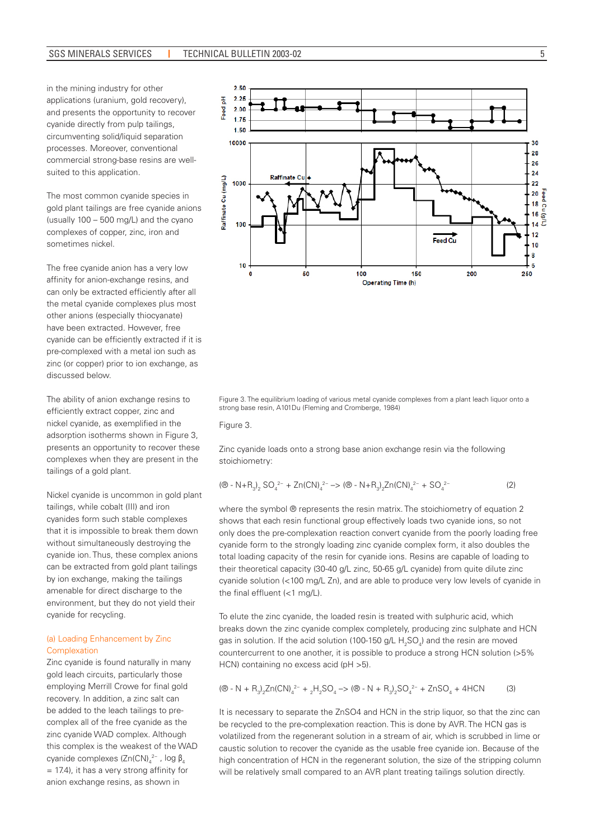in the mining industry for other applications (uranium, gold recovery), and presents the opportunity to recover cyanide directly from pulp tailings, circumventing solid/liquid separation processes. Moreover, conventional commercial strong-base resins are wellsuited to this application.

The most common cyanide species in gold plant tailings are free cyanide anions (usually 100 – 500 mg/L) and the cyano complexes of copper, zinc, iron and sometimes nickel.

The free cyanide anion has a very low affinity for anion-exchange resins, and can only be extracted efficiently after all the metal cyanide complexes plus most other anions (especially thiocyanate) have been extracted. However, free cyanide can be efficiently extracted if it is pre-complexed with a metal ion such as zinc (or copper) prior to ion exchange, as discussed below.

The ability of anion exchange resins to efficiently extract copper, zinc and nickel cyanide, as exemplified in the adsorption isotherms shown in Figure 3, presents an opportunity to recover these complexes when they are present in the tailings of a gold plant.

Nickel cyanide is uncommon in gold plant tailings, while cobalt (III) and iron cyanides form such stable complexes that it is impossible to break them down without simultaneously destroying the cyanide ion. Thus, these complex anions can be extracted from gold plant tailings by ion exchange, making the tailings amenable for direct discharge to the environment, but they do not yield their cyanide for recycling.

### (a) Loading Enhancement by Zinc Complexation

Zinc cyanide is found naturally in many gold leach circuits, particularly those employing Merrill Crowe for final gold recovery. In addition, a zinc salt can be added to the leach tailings to precomplex all of the free cyanide as the zinc cyanide WAD complex. Although this complex is the weakest of the WAD cyanide complexes (Zn(CN)<sub>4</sub><sup>2-</sup>, log  $\beta_4$ = 17.4), it has a very strong affinity for anion exchange resins, as shown in



Figure 3. The equilibrium loading of various metal cyanide complexes from a plant leach liquor onto a strong base resin, A101Du (Fleming and Cromberge, 1984)

Figure 3.

Zinc cyanide loads onto a strong base anion exchange resin via the following stoichiometry:

$$
(\circledR - N + R_3)_2 SO_4^{2-} + Zn(CN)_4^{2-} \Rightarrow (\circledR - N + R_3)_2 Zn(CN)_4^{2-} + SO_4^{2-} \tag{2}
$$

where the symbol ® represents the resin matrix. The stoichiometry of equation 2 shows that each resin functional group effectively loads two cyanide ions, so not only does the pre-complexation reaction convert cyanide from the poorly loading free cyanide form to the strongly loading zinc cyanide complex form, it also doubles the total loading capacity of the resin for cyanide ions. Resins are capable of loading to their theoretical capacity (30-40 g/L zinc, 50-65 g/L cyanide) from quite dilute zinc cyanide solution (<100 mg/L Zn), and are able to produce very low levels of cyanide in the final effluent (<1 mg/L).

To elute the zinc cyanide, the loaded resin is treated with sulphuric acid, which breaks down the zinc cyanide complex completely, producing zinc sulphate and HCN gas in solution. If the acid solution (100-150 g/L  $\rm H_2SO_4$ ) and the resin are moved countercurrent to one another, it is possible to produce a strong HCN solution (>5% HCN) containing no excess acid (pH >5).

$$
(\circledR - N + R_3)_2 Zn (CN)_4^{2-} + {}_2H_2SO_4 \rightarrow (\circledR - N + R_3)_2 SO_4^{2-} + Zn SO_4 + 4HCN \tag{3}
$$

It is necessary to separate the ZnSO4 and HCN in the strip liquor, so that the zinc can be recycled to the pre-complexation reaction. This is done by AVR. The HCN gas is volatilized from the regenerant solution in a stream of air, which is scrubbed in lime or caustic solution to recover the cyanide as the usable free cyanide ion. Because of the high concentration of HCN in the regenerant solution, the size of the stripping column will be relatively small compared to an AVR plant treating tailings solution directly.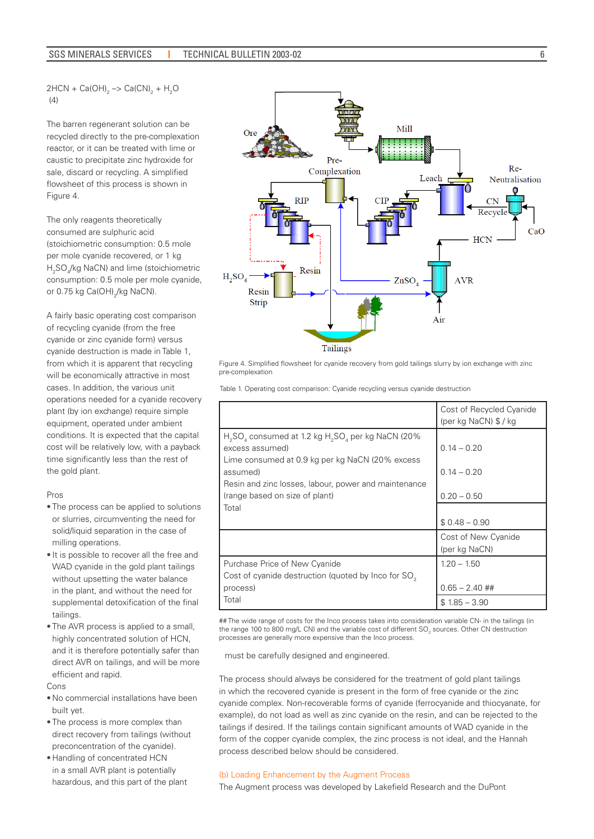$2HCN + Ca(OH)_{2} \rightarrow Ca(CN)_{2} + H_{2}O$  $(4)$ 

The barren regenerant solution can be recycled directly to the pre-complexation reactor, or it can be treated with lime or caustic to precipitate zinc hydroxide for sale, discard or recycling. A simplified flowsheet of this process is shown in Figure 4.

The only reagents theoretically consumed are sulphuric acid (stoichiometric consumption: 0.5 mole per mole cyanide recovered, or 1 kg H2 SO4 /kg NaCN) and lime (stoichiometric consumption: 0.5 mole per mole cyanide, or 0.75 kg Ca(OH)<sub>2</sub>/kg NaCN).

A fairly basic operating cost comparison of recycling cyanide (from the free cyanide or zinc cyanide form) versus cyanide destruction is made in Table 1, from which it is apparent that recycling will be economically attractive in most cases. In addition, the various unit operations needed for a cyanide recovery plant (by ion exchange) require simple equipment, operated under ambient conditions. It is expected that the capital cost will be relatively low, with a payback time significantly less than the rest of the gold plant.

#### Pros

- The process can be applied to solutions or slurries, circumventing the need for solid/liquid separation in the case of milling operations.
- It is possible to recover all the free and WAD cyanide in the gold plant tailings without upsetting the water balance in the plant, and without the need for supplemental detoxification of the final tailings.
- The AVR process is applied to a small, highly concentrated solution of HCN, and it is therefore potentially safer than direct AVR on tailings, and will be more efficient and rapid.

Cons

- No commercial installations have been built yet.
- The process is more complex than direct recovery from tailings (without preconcentration of the cyanide).
- Handling of concentrated HCN in a small AVR plant is potentially hazardous, and this part of the plant



Figure 4. Simplified flowsheet for cyanide recovery from gold tailings slurry by ion exchange with zinc pre-complexation

|                                                                                                                                                                                                                                  | Cost of Recycled Cyanide<br>(per kg NaCN) $$$ / kg |
|----------------------------------------------------------------------------------------------------------------------------------------------------------------------------------------------------------------------------------|----------------------------------------------------|
| $H2SO4$ consumed at 1.2 kg $H2SO4$ per kg NaCN (20%)<br>excess assumed)<br>Lime consumed at 0.9 kg per kg NaCN (20% excess<br>assumed)<br>Resin and zinc losses, labour, power and maintenance<br>(range based on size of plant) | $0.14 - 0.20$<br>$0.14 - 0.20$<br>$0.20 - 0.50$    |
| Total                                                                                                                                                                                                                            | $$0.48 - 0.90$                                     |
|                                                                                                                                                                                                                                  | Cost of New Cyanide<br>(per kg NaCN)               |
| Purchase Price of New Cyanide<br>Cost of cyanide destruction (quoted by Inco for SO <sub>2</sub><br>process)                                                                                                                     | $1.20 - 1.50$<br>$0.65 - 2.40$ ##                  |
| Total                                                                                                                                                                                                                            | $$1.85 - 3.90$                                     |

Table 1. Operating cost comparison: Cyanide recycling versus cyanide destruction

## The wide range of costs for the Inco process takes into consideration variable CN- in the tailings (in the range 100 to 800 mg/L CN) and the variable cost of different SO<sub>2</sub> sources. Other CN destruction processes are generally more expensive than the Inco process.

must be carefully designed and engineered.

The process should always be considered for the treatment of gold plant tailings in which the recovered cyanide is present in the form of free cyanide or the zinc cyanide complex. Non-recoverable forms of cyanide (ferrocyanide and thiocyanate, for example), do not load as well as zinc cyanide on the resin, and can be rejected to the tailings if desired. If the tailings contain significant amounts of WAD cyanide in the form of the copper cyanide complex, the zinc process is not ideal, and the Hannah process described below should be considered.

#### (b) Loading Enhancement by the Augment Process

The Augment process was developed by Lakefield Research and the DuPont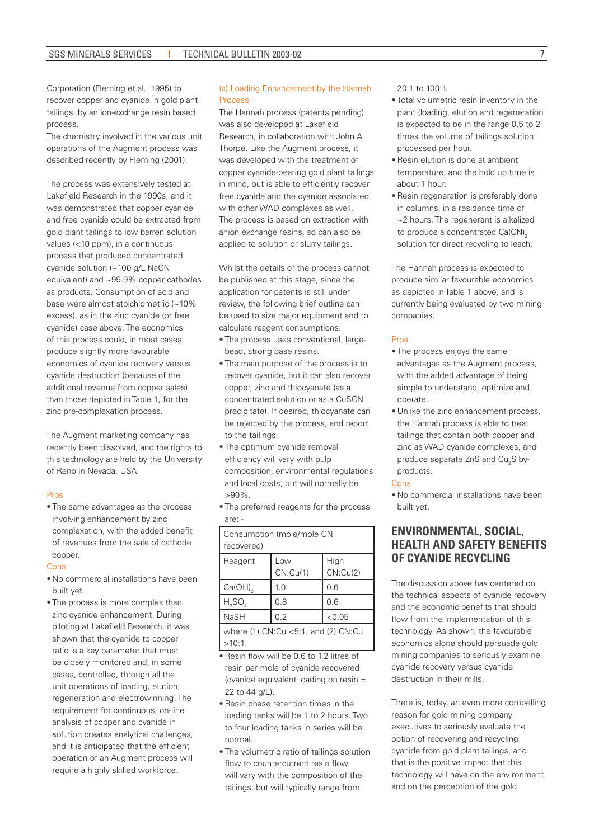Corporation (Fleming et al., 1995) to recover copper and cyanide in gold plant tailings, by an ion-exchange resin based process.

The chemistry involved in the various unit operations of the Augment process was described recently by Fleming (2001).

The process was extensively tested at Lakefield Research in the 1990s, and it was demonstrated that copper cyanide and free cyanide could be extracted from gold plant tailings to low barren solution values (<10 ppm), in a continuous process that produced concentrated cyanide solution (~100 g/L NaCN equivalent) and ~99.9% copper cathodes as products. Consumption of acid and base were almost stoichiometric (~10% excess), as in the zinc cyanide (or free cyanide) case above. The economics of this process could, in most cases, produce slightly more favourable economics of cyanide recovery versus cyanide destruction (because of the additional revenue from copper sales) than those depicted in Table 1, for the zinc pre-complexation process.

The Augment marketing company has recently been dissolved, and the rights to this technology are held by the University of Reno in Nevada, USA.

#### Pros

• The same advantages as the process involving enhancement by zinc complexation, with the added benefit of revenues from the sale of cathode copper.

#### Cons

- No commercial installations have been built yet.
- The process is more complex than zinc cyanide enhancement. During piloting at Lakefield Research, it was shown that the cyanide to copper ratio is a key parameter that must be closely monitored and, in some cases, controlled, through all the unit operations of loading, elution, regeneration and electrowinning. The requirement for continuous, on-line analysis of copper and cyanide in solution creates analytical challenges, and it is anticipated that the efficient operation of an Augment process will require a highly skilled workforce.

#### (c) Loading Enhancement by the Hannah **Process**

The Hannah process (patents pending) was also developed at Lakefield Research, in collaboration with John A. Thorpe. Like the Augment process, it was developed with the treatment of copper cyanide-bearing gold plant tailings in mind, but is able to efficiently recover free cyanide and the cyanide associated with other WAD complexes as well. The process is based on extraction with anion exchange resins, so can also be applied to solution or slurry tailings.

Whilst the details of the process cannot be published at this stage, since the application for patents is still under review, the following brief outline can be used to size major equipment and to calculate reagent consumptions:

- The process uses conventional, largebead, strong base resins.
- The main purpose of the process is to recover cyanide, but it can also recover copper, zinc and thiocyanate (as a concentrated solution or as a CuSCN precipitate). If desired, thiocyanate can be rejected by the process, and report to the tailings.
- The optimum cyanide removal efficiency will vary with pulp composition, environmental regulations and local costs, but will normally be >90%.
- The preferred reagents for the process are: -

| Consumption (mole/mole CN                               |                 |                  |
|---------------------------------------------------------|-----------------|------------------|
| recovered)                                              |                 |                  |
| Reagent                                                 | Low<br>CN:Cu(1) | High<br>CN:Cu(2) |
| $Ca(OH)_{2}$                                            | 1.0             | 0.6              |
| $H_2SO_4$                                               | 0.8             | 0.6              |
| <b>NaSH</b>                                             | 0.2             | < 0.05           |
| where $(1)$ CN:Cu $<$ 5:1, and $(2)$ CN:Cu<br>$>10:1$ . |                 |                  |

- •Resin flow will be 0.6 to 1.2 litres of resin per mole of cyanide recovered (cyanide equivalent loading on resin = 22 to 44 g/L).
- Resin phase retention times in the loading tanks will be 1 to 2 hours. Two to four loading tanks in series will be normal.
- The volumetric ratio of tailings solution flow to countercurrent resin flow will vary with the composition of the tailings, but will typically range from

20:1 to 100:1.

- Total volumetric resin inventory in the plant (loading, elution and regeneration is expected to be in the range 0.5 to 2 times the volume of tailings solution processed per hour.
- Resin elution is done at ambient temperature, and the hold up time is about 1 hour.
- Resin regeneration is preferably done in columns, in a residence time of ~2 hours. The regenerant is alkalized to produce a concentrated  $Ca(CN)_{2}$ solution for direct recycling to leach.

The Hannah process is expected to produce similar favourable economics as depicted in Table 1 above, and is currently being evaluated by two mining companies.

#### Pros

- The process enjoys the same advantages as the Augment process, with the added advantage of being simple to understand, optimize and operate.
- Unlike the zinc enhancement process, the Hannah process is able to treat tailings that contain both copper and zinc as WAD cyanide complexes, and produce separate ZnS and  $\textsf{Cu}_\textsf{2}\textsf{S}$  byproducts.

#### Cons

• No commercial installations have been built yet.

# **ENVIRONMENTAL, SOCIAL, HEALTH AND SAFETY BENEFITS OF CYANIDE RECYCLING**

The discussion above has centered on the technical aspects of cyanide recovery and the economic benefits that should flow from the implementation of this technology. As shown, the favourable economics alone should persuade gold mining companies to seriously examine cyanide recovery versus cyanide destruction in their mills.

There is, today, an even more compelling reason for gold mining company executives to seriously evaluate the option of recovering and recycling cyanide from gold plant tailings, and that is the positive impact that this technology will have on the environment and on the perception of the gold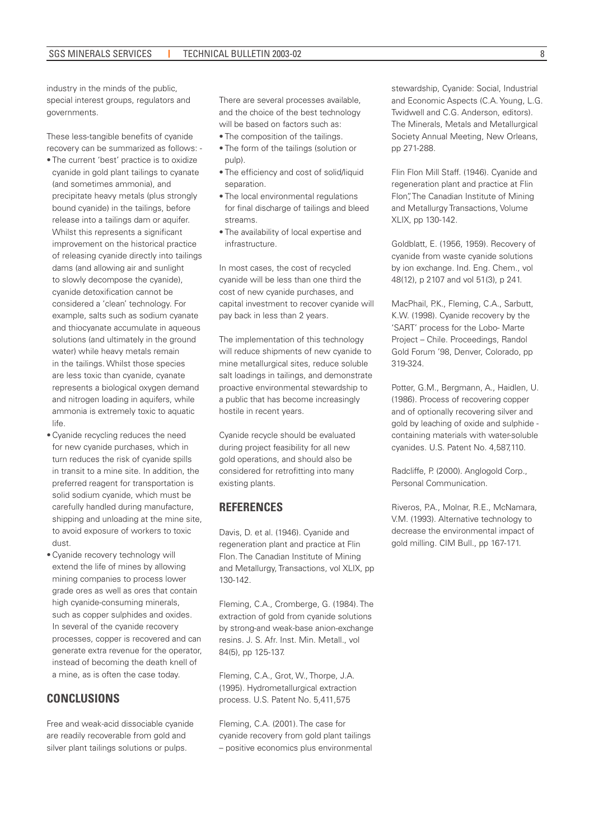industry in the minds of the public, special interest groups, regulators and governments.

These less-tangible benefits of cyanide recovery can be summarized as follows: -

- The current 'best' practice is to oxidize cyanide in gold plant tailings to cyanate (and sometimes ammonia), and precipitate heavy metals (plus strongly bound cyanide) in the tailings, before release into a tailings dam or aquifer. Whilst this represents a significant improvement on the historical practice of releasing cyanide directly into tailings dams (and allowing air and sunlight to slowly decompose the cyanide), cyanide detoxification cannot be considered a 'clean' technology. For example, salts such as sodium cyanate and thiocyanate accumulate in aqueous solutions (and ultimately in the ground water) while heavy metals remain in the tailings. Whilst those species are less toxic than cyanide, cyanate represents a biological oxygen demand and nitrogen loading in aquifers, while ammonia is extremely toxic to aquatic life.
- Cyanide recycling reduces the need for new cyanide purchases, which in turn reduces the risk of cyanide spills in transit to a mine site. In addition, the preferred reagent for transportation is solid sodium cyanide, which must be carefully handled during manufacture, shipping and unloading at the mine site, to avoid exposure of workers to toxic dust.
- Cyanide recovery technology will extend the life of mines by allowing mining companies to process lower grade ores as well as ores that contain high cyanide-consuming minerals, such as copper sulphides and oxides. In several of the cyanide recovery processes, copper is recovered and can generate extra revenue for the operator, instead of becoming the death knell of a mine, as is often the case today.

# **CONCLUSIONS**

Free and weak-acid dissociable cyanide are readily recoverable from gold and silver plant tailings solutions or pulps.

There are several processes available, and the choice of the best technology will be based on factors such as:

- The composition of the tailings.
- The form of the tailings (solution or pulp).
- The efficiency and cost of solid/liquid separation.
- The local environmental regulations for final discharge of tailings and bleed streams.
- The availability of local expertise and infrastructure.

In most cases, the cost of recycled cyanide will be less than one third the cost of new cyanide purchases, and capital investment to recover cyanide will pay back in less than 2 years.

The implementation of this technology will reduce shipments of new cyanide to mine metallurgical sites, reduce soluble salt loadings in tailings, and demonstrate proactive environmental stewardship to a public that has become increasingly hostile in recent years.

Cyanide recycle should be evaluated during project feasibility for all new gold operations, and should also be considered for retrofitting into many existing plants.

### **REFERENCES**

Davis, D. et al. (1946). Cyanide and regeneration plant and practice at Flin Flon. The Canadian Institute of Mining and Metallurgy, Transactions, vol XLIX, pp 130-142.

Fleming, C.A., Cromberge, G. (1984). The extraction of gold from cyanide solutions by strong-and weak-base anion-exchange resins. J. S. Afr. Inst. Min. Metall., vol 84(5), pp 125-137.

Fleming, C.A., Grot, W., Thorpe, J.A. (1995). Hydrometallurgical extraction process. U.S. Patent No. 5,411,575

Fleming, C.A. (2001). The case for cyanide recovery from gold plant tailings – positive economics plus environmental

stewardship, Cyanide: Social, Industrial and Economic Aspects (C.A. Young, L.G. Twidwell and C.G. Anderson, editors). The Minerals, Metals and Metallurgical Society Annual Meeting, New Orleans, pp 271-288.

Flin Flon Mill Staff. (1946). Cyanide and regeneration plant and practice at Flin Flon", The Canadian Institute of Mining and Metallurgy Transactions, Volume XLIX, pp 130-142.

Goldblatt, E. (1956, 1959). Recovery of cyanide from waste cyanide solutions by ion exchange. Ind. Eng. Chem., vol 48(12), p 2107 and vol 51(3), p 241.

MacPhail, P.K., Fleming, C.A., Sarbutt, K.W. (1998). Cyanide recovery by the 'SART' process for the Lobo- Marte Project – Chile. Proceedings, Randol Gold Forum '98, Denver, Colorado, pp 319-324.

Potter, G.M., Bergmann, A., Haidlen, U. (1986). Process of recovering copper and of optionally recovering silver and gold by leaching of oxide and sulphide containing materials with water-soluble cyanides. U.S. Patent No. 4,587,110.

Radcliffe, P. (2000). Anglogold Corp., Personal Communication.

Riveros, P.A., Molnar, R.E., McNamara, V.M. (1993). Alternative technology to decrease the environmental impact of gold milling. CIM Bull., pp 167-171.